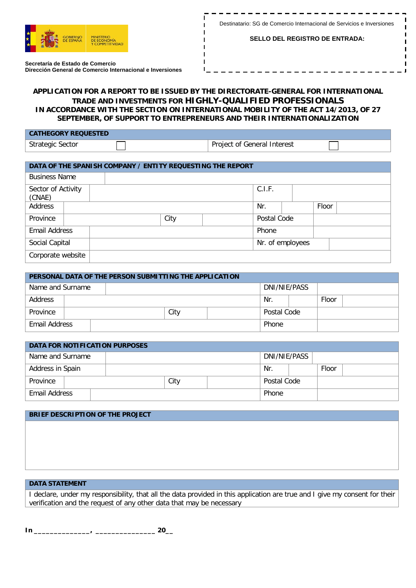

- - - - - - - - - -

**SELLO DEL REGISTRO DE ENTRADA:**

п

 $\mathbf{I}$ 

**Secretaría de Estado de Comercio Dirección General de Comercio Internacional e Inversiones**

## **APPLICATION FOR A REPORT TO BE ISSUED BY THE DIRECTORATE-GENERAL FOR INTERNATIONAL TRADE AND INVESTMENTS FOR HIGHLY-QUALIFIED PROFESSIONALS IN ACCORDANCE WITH THE SECTION ON INTERNATIONAL MOBILITY OF THE ACT 14/2013, OF 27 SEPTEMBER, OF SUPPORT TO ENTREPRENEURS AND THEIR INTERNATIONALIZATION**

п

| <b>CATHEGORY REQUESTED</b> |                             |  |
|----------------------------|-----------------------------|--|
| <b>Strategic Sector</b>    | Project of General Interest |  |

| DATA OF THE SPANISH COMPANY / ENTITY REQUESTING THE REPORT |      |              |  |  |             |        |  |  |  |
|------------------------------------------------------------|------|--------------|--|--|-------------|--------|--|--|--|
| <b>Business Name</b>                                       |      |              |  |  |             |        |  |  |  |
| Sector of Activity<br>(CNAE)                               |      |              |  |  |             | C.I.F. |  |  |  |
| Address                                                    |      | Floor<br>Nr. |  |  |             |        |  |  |  |
| Province                                                   | City |              |  |  | Postal Code |        |  |  |  |
| <b>Email Address</b>                                       |      |              |  |  |             | Phone  |  |  |  |
| Social Capital<br>Nr. of employees                         |      |              |  |  |             |        |  |  |  |
| Corporate website                                          |      |              |  |  |             |        |  |  |  |

| PERSONAL DATA OF THE PERSON SUBMITTING THE APPLICATION |  |  |  |      |              |             |  |       |  |
|--------------------------------------------------------|--|--|--|------|--------------|-------------|--|-------|--|
| Name and Surname                                       |  |  |  |      | DNI/NIE/PASS |             |  |       |  |
| Address                                                |  |  |  |      |              |             |  | Floor |  |
| Province                                               |  |  |  | City |              | Postal Code |  |       |  |
| Email Address                                          |  |  |  |      | Phone        |             |  |       |  |

| <b>DATA FOR NOTIFICATION PURPOSES</b> |  |  |  |              |       |             |       |  |  |
|---------------------------------------|--|--|--|--------------|-------|-------------|-------|--|--|
| Name and Surname                      |  |  |  | DNI/NIE/PASS |       |             |       |  |  |
| Address in Spain                      |  |  |  |              |       |             | Floor |  |  |
| Province                              |  |  |  | City         |       | Postal Code |       |  |  |
| Email Address                         |  |  |  |              | Phone |             |       |  |  |

## **BRIEF DESCRIPTION OF THE PROJECT**

## **DATA STATEMENT**

I declare, under my responsibility, that all the data provided in this application are true and I give my consent for their verification and the request of any other data that may be necessary